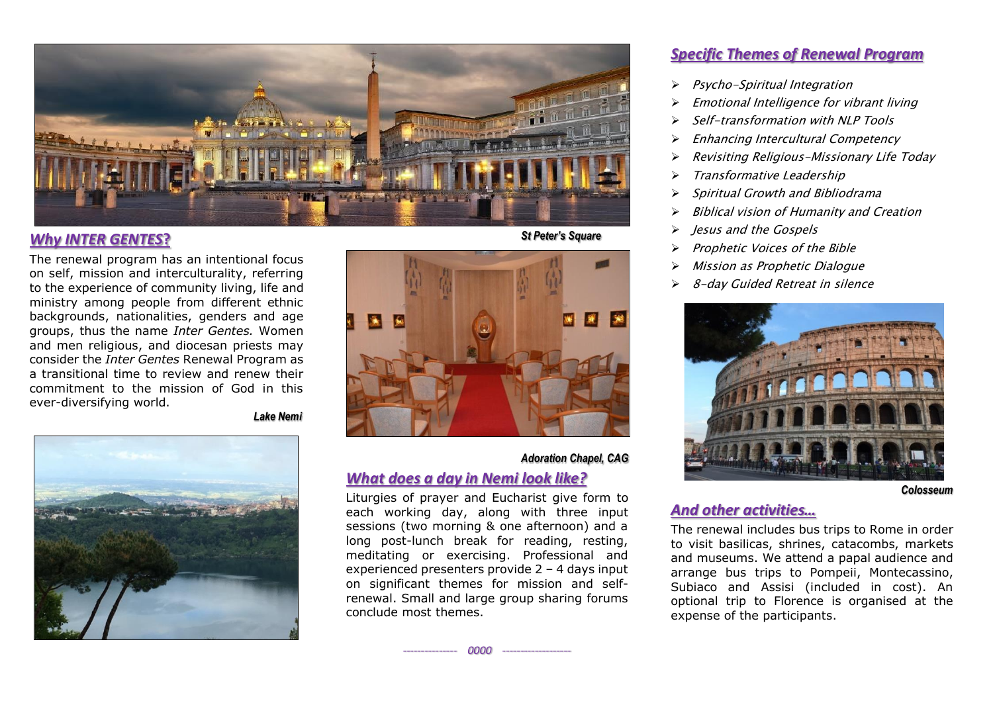

#### *Why INTER GENTES***?**

The renewal program has an intentional focus on self, mission and interculturality, referring to the experience of community living, life and ministry among people from different ethnic backgrounds, nationalities, genders and age groups, thus the name *Inter Gentes.* Women and men religious, and diocesan priests may consider the *Inter Gentes* Renewal Program as a transitional time to review and renew their commitment to the mission of God in this ever-diversifying world.

 *Lake Nemi*



 *St Peter's Square*



#### *Adoration Chapel, CAG*

#### *What does a day in Nemi look like?*

Liturgies of prayer and Eucharist give form to each working day, along with three input sessions (two morning & one afternoon) and a long post-lunch break for reading, resting, meditating or exercising. Professional and experienced presenters provide 2 – 4 days input on significant themes for mission and selfrenewal. Small and large group sharing forums conclude most themes.

*--------------- 0000 -------------------*

#### *Specific Themes of Renewal Program*

- ➢ Psycho-Spiritual Integration
- ➢ Emotional Intelligence for vibrant living
- ➢ Self-transformation with NLP Tools
- ➢ Enhancing Intercultural Competency
- ➢ Revisiting Religious-Missionary Life Today
- ➢ Transformative Leadership
- ➢ Spiritual Growth and Bibliodrama
- ➢ Biblical vision of Humanity and Creation
- ➢ Jesus and the Gospels
- ➢ Prophetic Voices of the Bible
- Mission as Prophetic Dialogue
- ➢ 8-day Guided Retreat in silence



*Colosseum*

#### *And other activities…*

The renewal includes bus trips to Rome in order to visit basilicas, shrines, catacombs, markets and museums. We attend a papal audience and arrange bus trips to Pompeii, Montecassino, Subiaco and Assisi (included in cost). An optional trip to Florence is organised at the expense of the participants.